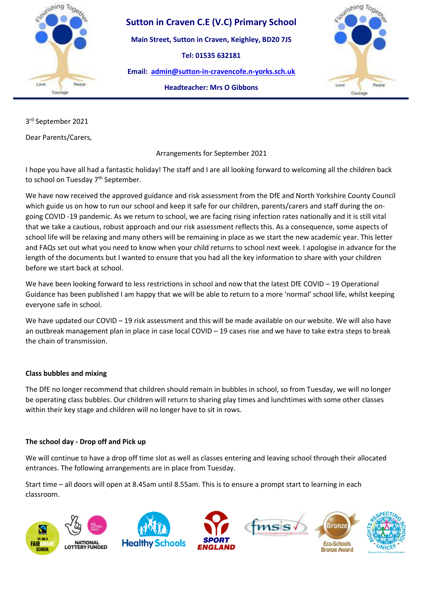

**Main Street, Sutton in Craven, Keighley, BD20 7JS**

**Tel: 01535 632181** 

**Email: [admin@sutton-in-cravencofe.n-yorks.sch.uk](mailto:admin@sutton-in-cravencofe.n-yorks.sch.uk)**



**Headteacher: Mrs O Gibbons**

3 rd September 2021

Dear Parents/Carers,

Arrangements for September 2021

I hope you have all had a fantastic holiday! The staff and I are all looking forward to welcoming all the children back to school on Tuesday 7<sup>th</sup> September.

We have now received the approved guidance and risk assessment from the DfE and North Yorkshire County Council which guide us on how to run our school and keep it safe for our children, parents/carers and staff during the ongoing COVID -19 pandemic. As we return to school, we are facing rising infection rates nationally and it is still vital that we take a cautious, robust approach and our risk assessment reflects this. As a consequence, some aspects of school life will be relaxing and many others will be remaining in place as we start the new academic year. This letter and FAQs set out what you need to know when your child returns to school next week. I apologise in advance for the length of the documents but I wanted to ensure that you had all the key information to share with your children before we start back at school.

We have been looking forward to less restrictions in school and now that the latest DfE COVID – 19 Operational Guidance has been published I am happy that we will be able to return to a more 'normal' school life, whilst keeping everyone safe in school.

We have updated our COVID – 19 risk assessment and this will be made available on our website. We will also have an outbreak management plan in place in case local COVID – 19 cases rise and we have to take extra steps to break the chain of transmission.

## **Class bubbles and mixing**

The DfE no longer recommend that children should remain in bubbles in school, so from Tuesday, we will no longer be operating class bubbles. Our children will return to sharing play times and lunchtimes with some other classes within their key stage and children will no longer have to sit in rows.

## **The school day - Drop off and Pick up**

We will continue to have a drop off time slot as well as classes entering and leaving school through their allocated entrances. The following arrangements are in place from Tuesday.

Start time – all doors will open at 8.45am until 8.55am. This is to ensure a prompt start to learning in each classroom.

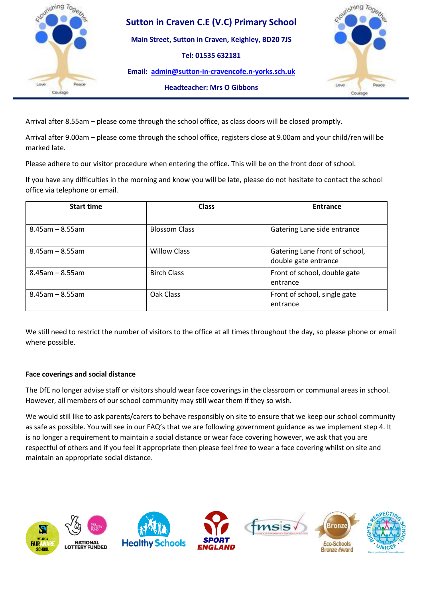

**Main Street, Sutton in Craven, Keighley, BD20 7JS**

**Tel: 01535 632181** 

**Email: [admin@sutton-in-cravencofe.n-yorks.sch.uk](mailto:admin@sutton-in-cravencofe.n-yorks.sch.uk)**



**Headteacher: Mrs O Gibbons**

Arrival after 8.55am – please come through the school office, as class doors will be closed promptly.

Arrival after 9.00am – please come through the school office, registers close at 9.00am and your child/ren will be marked late.

Please adhere to our visitor procedure when entering the office. This will be on the front door of school.

If you have any difficulties in the morning and know you will be late, please do not hesitate to contact the school office via telephone or email.

| <b>Start time</b>     | <b>Class</b>         | <b>Entrance</b>                                        |
|-----------------------|----------------------|--------------------------------------------------------|
|                       |                      |                                                        |
| $8.45$ am – $8.55$ am | <b>Blossom Class</b> | Gatering Lane side entrance                            |
| $8.45$ am - $8.55$ am | <b>Willow Class</b>  | Gatering Lane front of school,<br>double gate entrance |
| $8.45$ am – $8.55$ am | <b>Birch Class</b>   | Front of school, double gate<br>entrance               |
| $8.45$ am - $8.55$ am | Oak Class            | Front of school, single gate<br>entrance               |

We still need to restrict the number of visitors to the office at all times throughout the day, so please phone or email where possible.

### **Face coverings and social distance**

The DfE no longer advise staff or visitors should wear face coverings in the classroom or communal areas in school. However, all members of our school community may still wear them if they so wish.

We would still like to ask parents/carers to behave responsibly on site to ensure that we keep our school community as safe as possible. You will see in our FAQ's that we are following government guidance as we implement step 4. It is no longer a requirement to maintain a social distance or wear face covering however, we ask that you are respectful of others and if you feel it appropriate then please feel free to wear a face covering whilst on site and maintain an appropriate social distance.

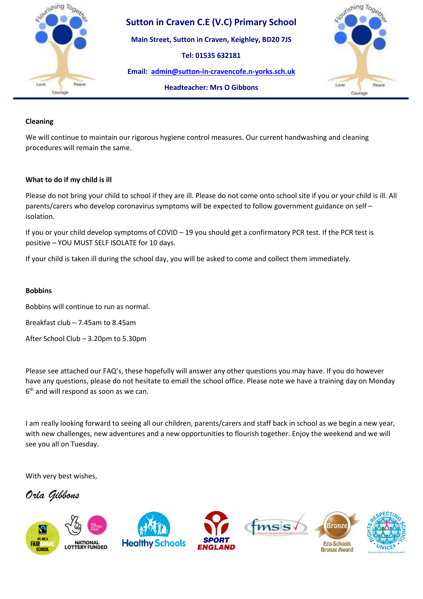

**Main Street, Sutton in Craven, Keighley, BD20 7JS**

**Tel: 01535 632181** 

**Email: [admin@sutton-in-cravencofe.n-yorks.sch.uk](mailto:admin@sutton-in-cravencofe.n-yorks.sch.uk)**



## **Headteacher: Mrs O Gibbons**

### **Cleaning**

We will continue to maintain our rigorous hygiene control measures. Our current handwashing and cleaning procedures will remain the same.

### **What to do if my child is ill**

Please do not bring your child to school if they are ill. Please do not come onto school site if you or your child is ill. All parents/carers who develop coronavirus symptoms will be expected to follow government guidance on self – isolation.

If you or your child develop symptoms of COVID – 19 you should get a confirmatory PCR test. If the PCR test is positive – YOU MUST SELF ISOLATE for 10 days.

If your child is taken ill during the school day, you will be asked to come and collect them immediately.

#### **Bobbins**

Bobbins will continue to run as normal.

Breakfast club – 7.45am to 8.45am

After School Club – 3.20pm to 5.30pm

Please see attached our FAQ's, these hopefully will answer any other questions you may have. If you do however have any questions, please do not hesitate to email the school office. Please note we have a training day on Monday 6 th and will respond as soon as we can.

I am really looking forward to seeing all our children, parents/carers and staff back in school as we begin a new year, with new challenges, new adventures and a new opportunities to flourish together. Enjoy the weekend and we will see you all on Tuesday.

With very best wishes,

*Orla Gibbons*